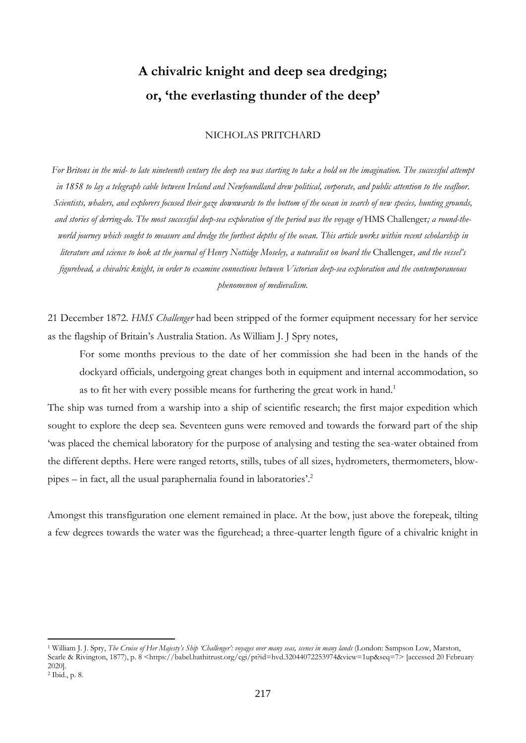# **A chivalric knight and deep sea dredging; or, 'the everlasting thunder of the deep'**

## NICHOLAS PRITCHARD

*For Britons in the mid- to late nineteenth century the deep sea was starting to take a hold on the imagination. The successful attempt in 1858 to lay a telegraph cable between Ireland and Newfoundland drew political, corporate, and public attention to the seafloor. Scientists, whalers, and explorers focused their gaze downwards to the bottom of the ocean in search of new species, hunting grounds, and stories of derring-do. The most successful deep-sea exploration of the period was the voyage of* HMS Challenger*; a round-theworld journey which sought to measure and dredge the furthest depths of the ocean. This article works within recent scholarship in literature and science to look at the journal of Henry Nottidge Moseley, a naturalist on board the* Challenger*, and the vessel's figurehead, a chivalric knight, in order to examine connections between Victorian deep-sea exploration and the contemporaneous phenomenon of medievalism.*

21 December 1872. *HMS Challenger* had been stripped of the former equipment necessary for her service as the flagship of Britain's Australia Station. As William J. J Spry notes,

For some months previous to the date of her commission she had been in the hands of the dockyard officials, undergoing great changes both in equipment and internal accommodation, so as to fit her with every possible means for furthering the great work in hand.<sup>1</sup>

The ship was turned from a warship into a ship of scientific research; the first major expedition which sought to explore the deep sea. Seventeen guns were removed and towards the forward part of the ship 'was placed the chemical laboratory for the purpose of analysing and testing the sea-water obtained from the different depths. Here were ranged retorts, stills, tubes of all sizes, hydrometers, thermometers, blowpipes – in fact, all the usual paraphernalia found in laboratories'. 2

Amongst this transfiguration one element remained in place. At the bow, just above the forepeak, tilting a few degrees towards the water was the figurehead; a three-quarter length figure of a chivalric knight in

<sup>1</sup> William J. J. Spry, *The Cruise of Her Majesty's Ship 'Challenger': voyages over many seas, scenes in many lands* (London: Sampson Low, Marston, Searle & Rivington, 1877), p. 8 <https://babel.hathitrust.org/cgi/pt?id=hvd.32044072253974&view=1up&seq=7> [accessed 20 February 2020]. <sup>2</sup> Ibid., p. 8.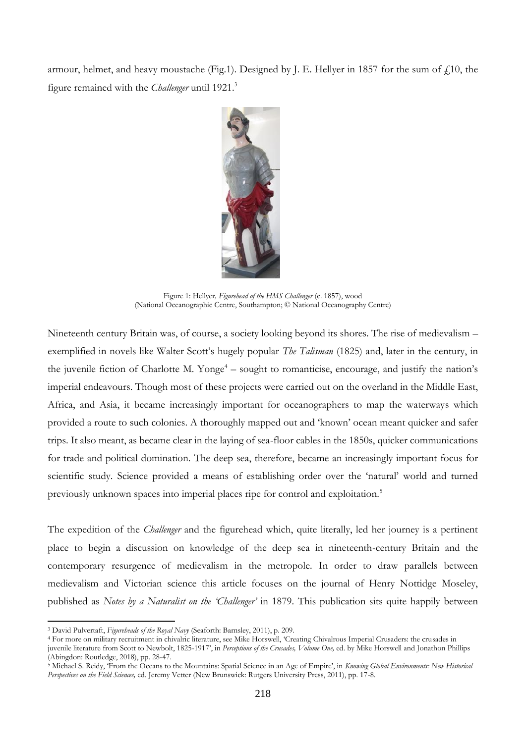armour, helmet, and heavy moustache (Fig.1). Designed by J. E. Hellyer in 1857 for the sum of  $f(10)$ , the figure remained with the *Challenger* until 1921.<sup>3</sup>



Figure 1: Hellyer*, Figurehead of the HMS Challenger* (c. 1857), wood (National Oceanographic Centre, Southampton; © National Oceanography Centre)

Nineteenth century Britain was, of course, a society looking beyond its shores. The rise of medievalism – exemplified in novels like Walter Scott's hugely popular *The Talisman* (1825) and, later in the century, in the juvenile fiction of Charlotte M. Yonge<sup>4</sup> – sought to romanticise, encourage, and justify the nation's imperial endeavours. Though most of these projects were carried out on the overland in the Middle East, Africa, and Asia, it became increasingly important for oceanographers to map the waterways which provided a route to such colonies. A thoroughly mapped out and 'known' ocean meant quicker and safer trips. It also meant, as became clear in the laying of sea-floor cables in the 1850s, quicker communications for trade and political domination. The deep sea, therefore, became an increasingly important focus for scientific study. Science provided a means of establishing order over the 'natural' world and turned previously unknown spaces into imperial places ripe for control and exploitation.<sup>5</sup>

The expedition of the *Challenger* and the figurehead which, quite literally, led her journey is a pertinent place to begin a discussion on knowledge of the deep sea in nineteenth-century Britain and the contemporary resurgence of medievalism in the metropole. In order to draw parallels between medievalism and Victorian science this article focuses on the journal of Henry Nottidge Moseley, published as *Notes by a Naturalist on the 'Challenger'* in 1879. This publication sits quite happily between

<sup>3</sup> David Pulvertaft, *Figureheads of the Royal Navy* (Seaforth: Barnsley, 2011), p. 209.

<sup>4</sup> For more on military recruitment in chivalric literature, see Mike Horswell, 'Creating Chivalrous Imperial Crusaders: the crusades in juvenile literature from Scott to Newbolt, 1825-1917', in *Perceptions of the Crusades, Volume One,* ed. by Mike Horswell and Jonathon Phillips (Abingdon: Routledge, 2018), pp. 28-47.

<sup>5</sup> Michael S. Reidy, 'From the Oceans to the Mountains: Spatial Science in an Age of Empire', in *Knowing Global Environments: New Historical Perspectives on the Field Sciences,* ed. Jeremy Vetter (New Brunswick: Rutgers University Press, 2011), pp. 17-8.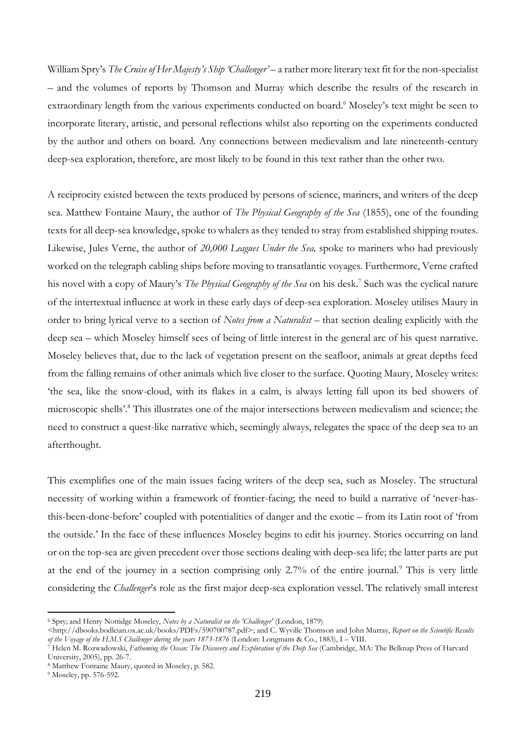William Spry's *The Cruise of Her Majesty's Ship 'Challenger'* – a rather more literary text fit for the non-specialist – and the volumes of reports by Thomson and Murray which describe the results of the research in extraordinary length from the various experiments conducted on board.<sup>6</sup> Moseley's text might be seen to incorporate literary, artistic, and personal reflections whilst also reporting on the experiments conducted by the author and others on board. Any connections between medievalism and late nineteenth-century deep-sea exploration, therefore, are most likely to be found in this text rather than the other two.

A reciprocity existed between the texts produced by persons of science, mariners, and writers of the deep sea. Matthew Fontaine Maury, the author of *The Physical Geography of the Sea* (1855), one of the founding texts for all deep-sea knowledge, spoke to whalers as they tended to stray from established shipping routes. Likewise, Jules Verne, the author of *20,000 Leagues Under the Sea,* spoke to mariners who had previously worked on the telegraph cabling ships before moving to transatlantic voyages. Furthermore, Verne crafted his novel with a copy of Maury's *The Physical Geography of the Sea* on his desk.<sup>7</sup> Such was the cyclical nature of the intertextual influence at work in these early days of deep-sea exploration. Moseley utilises Maury in order to bring lyrical verve to a section of *Notes from a Naturalist* – that section dealing explicitly with the deep sea – which Moseley himself sees of being of little interest in the general arc of his quest narrative. Moseley believes that, due to the lack of vegetation present on the seafloor, animals at great depths feed from the falling remains of other animals which live closer to the surface. Quoting Maury, Moseley writes: 'the sea, like the snow-cloud, with its flakes in a calm, is always letting fall upon its bed showers of microscopic shells'. <sup>8</sup> This illustrates one of the major intersections between medievalism and science; the need to construct a quest-like narrative which, seemingly always, relegates the space of the deep sea to an afterthought.

This exemplifies one of the main issues facing writers of the deep sea, such as Moseley. The structural necessity of working within a framework of frontier-facing; the need to build a narrative of 'never-hasthis-been-done-before' coupled with potentialities of danger and the exotic – from its Latin root of 'from the outside.' In the face of these influences Moseley begins to edit his journey. Stories occurring on land or on the top-sea are given precedent over those sections dealing with deep-sea life; the latter parts are put at the end of the journey in a section comprising only 2.7% of the entire journal.<sup>9</sup> This is very little considering the *Challenger*'s role as the first major deep-sea exploration vessel. The relatively small interest

<sup>6</sup> Spry; and Henry Nottidge Moseley, *Notes by a Naturalist on the 'Challenger'* (London, 1879)

<sup>&</sup>lt;http://dbooks.bodleian.ox.ac.uk/books/PDFs/590700787.pdf>; and C. Wyville Thomson and John Murray, *Report on the Scientific Results of the Voyage of the H.M.S Challenger during the years 1873-1876* (London: Longmans & Co., 1883), I – VIII.

<sup>7</sup> Helen M. Rozwadowski, *Fathoming the Ocean: The Discovery and Exploration of the Deep Sea* (Cambridge, MA: The Belknap Press of Harvard University, 2005), pp. 26-7.

<sup>8</sup> Matthew Fontaine Maury, quoted in Moseley, p. 582.

<sup>9</sup> Moseley, pp. 576-592.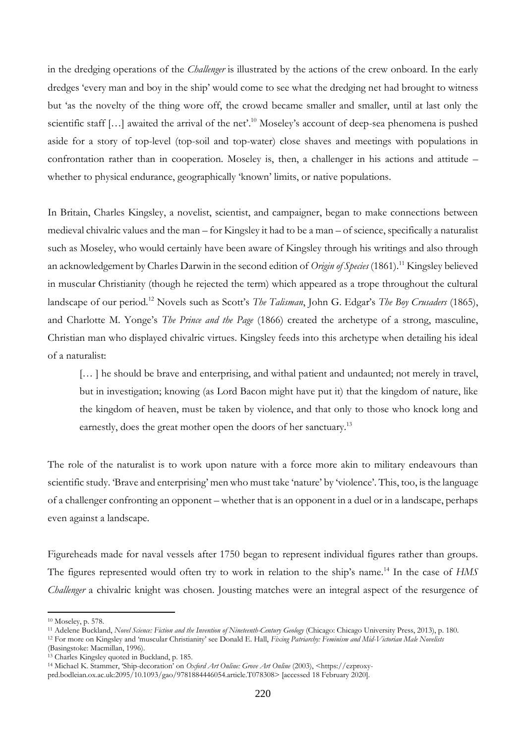in the dredging operations of the *Challenger* is illustrated by the actions of the crew onboard. In the early dredges 'every man and boy in the ship' would come to see what the dredging net had brought to witness but 'as the novelty of the thing wore off, the crowd became smaller and smaller, until at last only the scientific staff [...] awaited the arrival of the net'.<sup>10</sup> Moseley's account of deep-sea phenomena is pushed aside for a story of top-level (top-soil and top-water) close shaves and meetings with populations in confrontation rather than in cooperation. Moseley is, then, a challenger in his actions and attitude – whether to physical endurance, geographically 'known' limits, or native populations.

In Britain, Charles Kingsley, a novelist, scientist, and campaigner, began to make connections between medieval chivalric values and the man – for Kingsley it had to be a man – of science, specifically a naturalist such as Moseley, who would certainly have been aware of Kingsley through his writings and also through an acknowledgement by Charles Darwin in the second edition of *Origin of Species* (1861).<sup>11</sup> Kingsley believed in muscular Christianity (though he rejected the term) which appeared as a trope throughout the cultural landscape of our period.<sup>12</sup> Novels such as Scott's *The Talisman*, John G. Edgar's *The Boy Crusaders* (1865), and Charlotte M. Yonge's *The Prince and the Page* (1866) created the archetype of a strong, masculine, Christian man who displayed chivalric virtues. Kingsley feeds into this archetype when detailing his ideal of a naturalist:

[...] he should be brave and enterprising, and withal patient and undaunted; not merely in travel, but in investigation; knowing (as Lord Bacon might have put it) that the kingdom of nature, like the kingdom of heaven, must be taken by violence, and that only to those who knock long and earnestly, does the great mother open the doors of her sanctuary.<sup>13</sup>

The role of the naturalist is to work upon nature with a force more akin to military endeavours than scientific study. 'Brave and enterprising' men who must take 'nature' by 'violence'. This, too, is the language of a challenger confronting an opponent – whether that is an opponent in a duel or in a landscape, perhaps even against a landscape.

Figureheads made for naval vessels after 1750 began to represent individual figures rather than groups. The figures represented would often try to work in relation to the ship's name.<sup>14</sup> In the case of *HMS Challenger* a chivalric knight was chosen. Jousting matches were an integral aspect of the resurgence of

<sup>10</sup> Moseley, p. 578.

<sup>11</sup> Adelene Buckland, *Novel Science: Fiction and the Invention of Nineteenth-Century Geology* (Chicago: Chicago University Press, 2013), p. 180.

<sup>12</sup> For more on Kingsley and 'muscular Christianity' see Donald E. Hall, *Fixing Patriarchy: Feminism and Mid-Victorian Male Novelists*  (Basingstoke: Macmillan, 1996).

<sup>&</sup>lt;sup>13</sup> Charles Kingsley quoted in Buckland, p. 185.

<sup>14</sup> Michael K. Stammer, 'Ship-decoration' on *Oxford Art Online: Grove Art Online* (2003), <https://ezproxy-

prd.bodleian.ox.ac.uk:2095/10.1093/gao/9781884446054.article.T078308> [accessed 18 February 2020].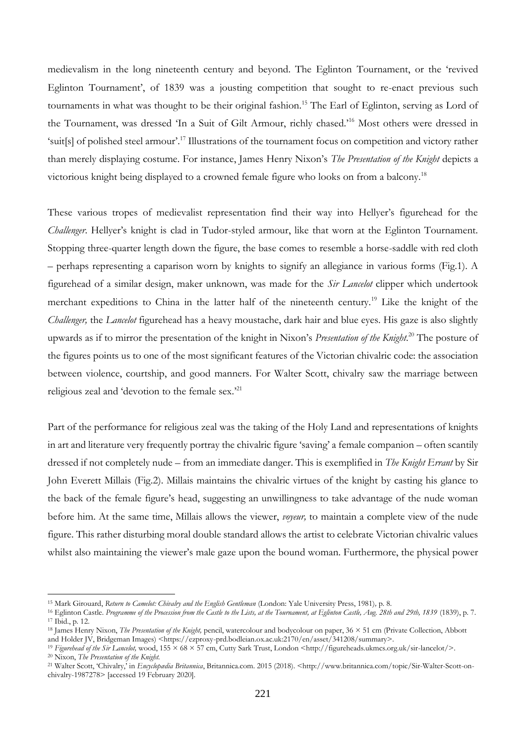medievalism in the long nineteenth century and beyond. The Eglinton Tournament, or the 'revived Eglinton Tournament', of 1839 was a jousting competition that sought to re-enact previous such tournaments in what was thought to be their original fashion.<sup>15</sup> The Earl of Eglinton, serving as Lord of the Tournament, was dressed 'In a Suit of Gilt Armour, richly chased.'<sup>16</sup> Most others were dressed in 'suit[s] of polished steel armour'.<sup>17</sup> Illustrations of the tournament focus on competition and victory rather than merely displaying costume. For instance, James Henry Nixon's *The Presentation of the Knight* depicts a victorious knight being displayed to a crowned female figure who looks on from a balcony.<sup>18</sup>

These various tropes of medievalist representation find their way into Hellyer's figurehead for the *Challenger*. Hellyer's knight is clad in Tudor-styled armour, like that worn at the Eglinton Tournament. Stopping three-quarter length down the figure, the base comes to resemble a horse-saddle with red cloth – perhaps representing a caparison worn by knights to signify an allegiance in various forms (Fig.1). A figurehead of a similar design, maker unknown, was made for the *Sir Lancelot* clipper which undertook merchant expeditions to China in the latter half of the nineteenth century.<sup>19</sup> Like the knight of the *Challenger,* the *Lancelot* figurehead has a heavy moustache, dark hair and blue eyes. His gaze is also slightly upwards as if to mirror the presentation of the knight in Nixon's *Presentation of the Knight*. <sup>20</sup> The posture of the figures points us to one of the most significant features of the Victorian chivalric code: the association between violence, courtship, and good manners. For Walter Scott, chivalry saw the marriage between religious zeal and 'devotion to the female sex.'<sup>21</sup>

Part of the performance for religious zeal was the taking of the Holy Land and representations of knights in art and literature very frequently portray the chivalric figure 'saving' a female companion – often scantily dressed if not completely nude – from an immediate danger. This is exemplified in *The Knight Errant* by Sir John Everett Millais (Fig.2). Millais maintains the chivalric virtues of the knight by casting his glance to the back of the female figure's head, suggesting an unwillingness to take advantage of the nude woman before him. At the same time, Millais allows the viewer, *voyeur,* to maintain a complete view of the nude figure. This rather disturbing moral double standard allows the artist to celebrate Victorian chivalric values whilst also maintaining the viewer's male gaze upon the bound woman. Furthermore, the physical power

<sup>15</sup> Mark Girouard, *Return to Camelot: Chivalry and the English Gentleman* (London: Yale University Press, 1981)*,* p. 8.

<sup>16</sup> Eglinton Castle. *Programme of the Procession from the Castle to the Lists, at the Tournament, at Eglinton Castle, Aug. 28th and 29th, 1839* (1839), p. 7. <sup>17</sup> Ibid., p. 12.

<sup>18</sup> James Henry Nixon, *The Presentation of the Knight,* pencil, watercolour and bodycolour on paper, 36 × 51 cm (Private Collection, Abbott and Holder JV, Bridgeman Images) <https://ezproxy-prd.bodleian.ox.ac.uk:2170/en/asset/341208/summary>.

<sup>19</sup> *Figurehead of the Sir Lancelot,* wood, 155 × 68 × 57 cm, Cutty Sark Trust, London <http://figureheads.ukmcs.org.uk/sir-lancelot/>. <sup>20</sup> Nixon, *The Presentation of the Knight.*

<sup>21</sup> Walter Scott, 'Chivalry,' in *Encyclopædia Britannica*, Britannica.com. 2015 (2018). <http://www.britannica.com/topic/Sir-Walter-Scott-onchivalry-1987278> [accessed 19 February 2020].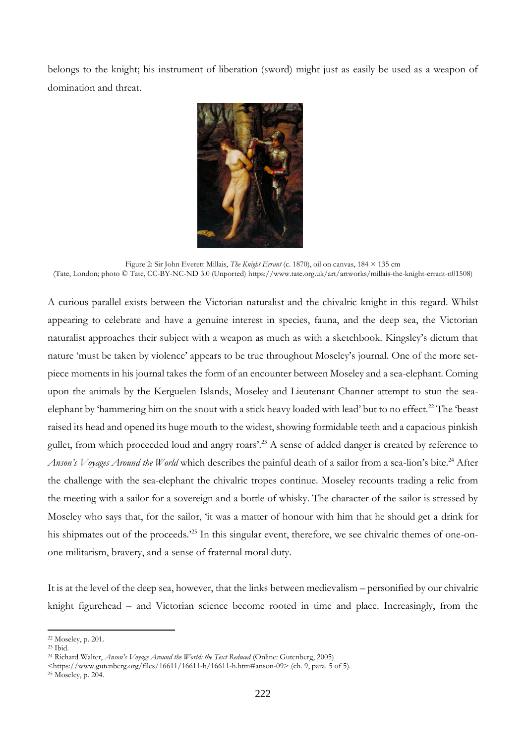belongs to the knight; his instrument of liberation (sword) might just as easily be used as a weapon of domination and threat.



Figure 2: Sir John Everett Millais, *The Knight Errant* (c. 1870), oil on canvas, 184 × 135 cm (Tate, London; photo © Tate, CC-BY-NC-ND 3.0 (Unported) https://www.tate.org.uk/art/artworks/millais-the-knight-errant-n01508)

A curious parallel exists between the Victorian naturalist and the chivalric knight in this regard. Whilst appearing to celebrate and have a genuine interest in species, fauna, and the deep sea, the Victorian naturalist approaches their subject with a weapon as much as with a sketchbook. Kingsley's dictum that nature 'must be taken by violence' appears to be true throughout Moseley's journal. One of the more setpiece moments in his journal takes the form of an encounter between Moseley and a sea-elephant. Coming upon the animals by the Kerguelen Islands, Moseley and Lieutenant Channer attempt to stun the seaelephant by 'hammering him on the snout with a stick heavy loaded with lead' but to no effect.<sup>22</sup> The 'beast' raised its head and opened its huge mouth to the widest, showing formidable teeth and a capacious pinkish gullet, from which proceeded loud and angry roars'.<sup>23</sup> A sense of added danger is created by reference to *Anson's Voyages Around the World* which describes the painful death of a sailor from a sea-lion's bite.<sup>24</sup> After the challenge with the sea-elephant the chivalric tropes continue. Moseley recounts trading a relic from the meeting with a sailor for a sovereign and a bottle of whisky. The character of the sailor is stressed by Moseley who says that, for the sailor, 'it was a matter of honour with him that he should get a drink for his shipmates out of the proceeds.<sup>25</sup> In this singular event, therefore, we see chivalric themes of one-onone militarism, bravery, and a sense of fraternal moral duty.

It is at the level of the deep sea, however, that the links between medievalism – personified by our chivalric knight figurehead – and Victorian science become rooted in time and place. Increasingly, from the

<sup>22</sup> Moseley, p. 201.

<sup>23</sup> Ibid.

<sup>24</sup> Richard Walter, *Anson's Voyage Around the World: the Text Reduced* (Online: Gutenberg, 2005)

 $\langle$ https://www.gutenberg.org/files/16611/16611-h/16611-h.htm#anson-09> (ch. 9, para. 5 of 5).

<sup>25</sup> Moseley, p. 204.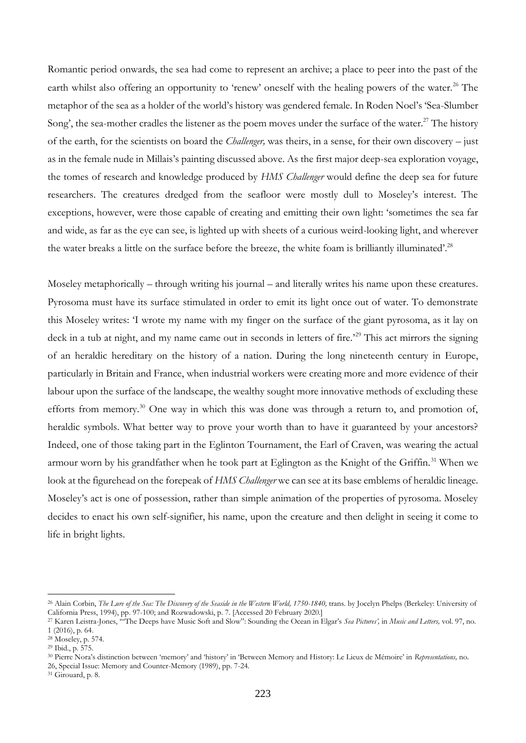Romantic period onwards, the sea had come to represent an archive; a place to peer into the past of the earth whilst also offering an opportunity to 'renew' oneself with the healing powers of the water.<sup>26</sup> The metaphor of the sea as a holder of the world's history was gendered female. In Roden Noel's 'Sea-Slumber Song', the sea-mother cradles the listener as the poem moves under the surface of the water.<sup>27</sup> The history of the earth, for the scientists on board the *Challenger,* was theirs, in a sense, for their own discovery – just as in the female nude in Millais's painting discussed above. As the first major deep-sea exploration voyage, the tomes of research and knowledge produced by *HMS Challenger* would define the deep sea for future researchers. The creatures dredged from the seafloor were mostly dull to Moseley's interest. The exceptions, however, were those capable of creating and emitting their own light: 'sometimes the sea far and wide, as far as the eye can see, is lighted up with sheets of a curious weird-looking light, and wherever the water breaks a little on the surface before the breeze, the white foam is brilliantly illuminated'.<sup>28</sup>

Moseley metaphorically – through writing his journal – and literally writes his name upon these creatures. Pyrosoma must have its surface stimulated in order to emit its light once out of water. To demonstrate this Moseley writes: 'I wrote my name with my finger on the surface of the giant pyrosoma, as it lay on deck in a tub at night, and my name came out in seconds in letters of fire.<sup>29</sup> This act mirrors the signing of an heraldic hereditary on the history of a nation. During the long nineteenth century in Europe, particularly in Britain and France, when industrial workers were creating more and more evidence of their labour upon the surface of the landscape, the wealthy sought more innovative methods of excluding these efforts from memory.<sup>30</sup> One way in which this was done was through a return to, and promotion of, heraldic symbols. What better way to prove your worth than to have it guaranteed by your ancestors? Indeed, one of those taking part in the Eglinton Tournament, the Earl of Craven, was wearing the actual armour worn by his grandfather when he took part at Eglington as the Knight of the Griffin.<sup>31</sup> When we look at the figurehead on the forepeak of *HMS Challenger* we can see at its base emblems of heraldic lineage. Moseley's act is one of possession, rather than simple animation of the properties of pyrosoma. Moseley decides to enact his own self-signifier, his name, upon the creature and then delight in seeing it come to life in bright lights.

<sup>&</sup>lt;sup>26</sup> Alain Corbin, *The Lure of the Sea: The Discovery of the Seaside in the Western World, 1750-1840*, trans. by Jocelyn Phelps (Berkeley: University of California Press, 1994), pp. 97-100; and Rozwadowski, p. 7. [Accessed 20 February 2020.]

<sup>27</sup> Karen Leistra-Jones, '"The Deeps have Music Soft and Slow": Sounding the Ocean in Elgar's *Sea Pictures',* in *Music and Letters,* vol. 97, no. 1 (2016), p. 64.

<sup>28</sup> Moseley, p. 574.

<sup>29</sup> Ibid., p*.* 575.

<sup>30</sup> Pierre Nora's distinction between 'memory' and 'history' in 'Between Memory and History: Le Lieux de Mémoire' in *Representations,* no. 26, Special Issue: Memory and Counter-Memory (1989), pp. 7-24.

<sup>31</sup> Girouard, p. 8.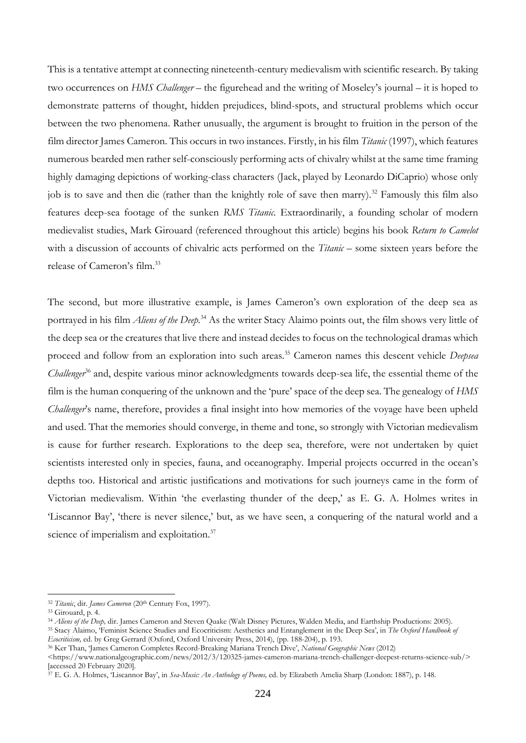This is a tentative attempt at connecting nineteenth-century medievalism with scientific research. By taking two occurrences on *HMS Challenger* – the figurehead and the writing of Moseley's journal – it is hoped to demonstrate patterns of thought, hidden prejudices, blind-spots, and structural problems which occur between the two phenomena. Rather unusually, the argument is brought to fruition in the person of the film director James Cameron. This occurs in two instances. Firstly, in his film *Titanic* (1997), which features numerous bearded men rather self-consciously performing acts of chivalry whilst at the same time framing highly damaging depictions of working-class characters (Jack, played by Leonardo DiCaprio) whose only job is to save and then die (rather than the knightly role of save then marry).<sup>32</sup> Famously this film also features deep-sea footage of the sunken *RMS Titanic.* Extraordinarily, a founding scholar of modern medievalist studies, Mark Girouard (referenced throughout this article) begins his book *Return to Camelot* with a discussion of accounts of chivalric acts performed on the *Titanic* – some sixteen years before the release of Cameron's film.<sup>33</sup>

The second, but more illustrative example, is James Cameron's own exploration of the deep sea as portrayed in his film *Aliens of the Deep.*<sup>34</sup> As the writer Stacy Alaimo points out, the film shows very little of the deep sea or the creatures that live there and instead decides to focus on the technological dramas which proceed and follow from an exploration into such areas.<sup>35</sup> Cameron names this descent vehicle *Deepsea Challenger*<sup>36</sup> and, despite various minor acknowledgments towards deep-sea life, the essential theme of the film is the human conquering of the unknown and the 'pure' space of the deep sea. The genealogy of *HMS Challenger*'s name, therefore, provides a final insight into how memories of the voyage have been upheld and used. That the memories should converge, in theme and tone, so strongly with Victorian medievalism is cause for further research. Explorations to the deep sea, therefore, were not undertaken by quiet scientists interested only in species, fauna, and oceanography. Imperial projects occurred in the ocean's depths too. Historical and artistic justifications and motivations for such journeys came in the form of Victorian medievalism. Within 'the everlasting thunder of the deep,' as E. G. A. Holmes writes in 'Liscannor Bay', 'there is never silence,' but, as we have seen, a conquering of the natural world and a science of imperialism and exploitation.<sup>37</sup>

<sup>32</sup> *Titanic*, dir. *James Cameron* (20th Century Fox, 1997).

<sup>33</sup> Girouard, p. 4.

<sup>34</sup> *Aliens of the Deep,* dir. James Cameron and Steven Quake (Walt Disney Pictures, Walden Media, and Earthship Productions: 2005). <sup>35</sup> Stacy Alaimo, 'Feminist Science Studies and Ecocriticism: Aesthetics and Entanglement in the Deep Sea', in *The Oxford Handbook of* 

*Ecocriticism,* ed. by Greg Gerrard (Oxford, Oxford University Press, 2014), (pp. 188-204), p. 193.

<sup>36</sup> Ker Than, 'James Cameron Completes Record-Breaking Mariana Trench Dive', *National Geographic News* (2012)

 $\langle$ https://www.nationalgeographic.com/news/2012/3/120325-james-cameron-mariana-trench-challenger-deepest-returns-science-sub/> [accessed 20 February 2020].

<sup>37</sup> E. G. A. Holmes, 'Liscannor Bay', in *Sea-Music: An Anthology of Poems,* ed. by Elizabeth Amelia Sharp (London: 1887), p. 148.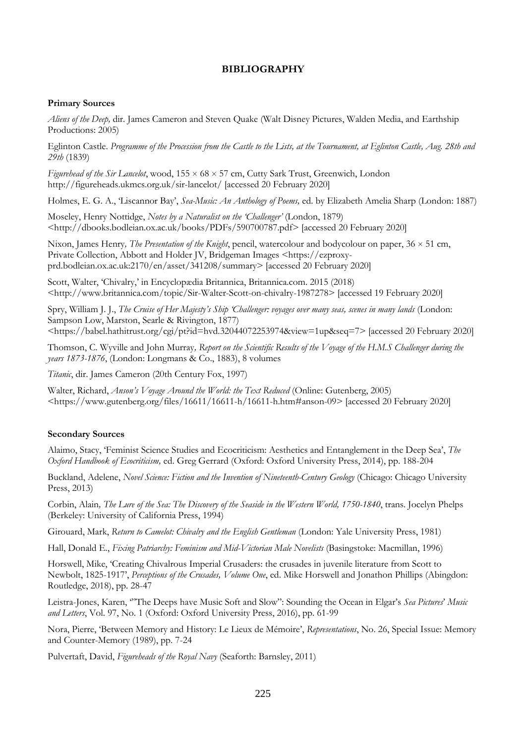## **BIBLIOGRAPHY**

#### **Primary Sources**

*Aliens of the Deep,* dir. James Cameron and Steven Quake (Walt Disney Pictures, Walden Media, and Earthship Productions: 2005)

Eglinton Castle. *Programme of the Procession from the Castle to the Lists, at the Tournament, at Eglinton Castle, Aug. 28th and 29th* (1839)

*Figurehead of the Sir Lancelot*, wood, 155 × 68 × 57 cm, Cutty Sark Trust, Greenwich, London http://figureheads.ukmcs.org.uk/sir-lancelot/ [accessed 20 February 2020]

Holmes, E. G. A., 'Liscannor Bay', *Sea-Music: An Anthology of Poems,* ed. by Elizabeth Amelia Sharp (London: 1887)

Moseley, Henry Nottidge, *Notes by a Naturalist on the 'Challenger'* (London, 1879) <http://dbooks.bodleian.ox.ac.uk/books/PDFs/590700787.pdf> [accessed 20 February 2020]

Nixon, James Henry*, The Presentation of the Knight*, pencil, watercolour and bodycolour on paper, 36 × 51 cm, Private Collection, Abbott and Holder JV, Bridgeman Images <https://ezproxyprd.bodleian.ox.ac.uk:2170/en/asset/341208/summary> [accessed 20 February 2020]

Scott, Walter, 'Chivalry,' in Encyclopædia Britannica, Britannica.com. 2015 (2018) <http://www.britannica.com/topic/Sir-Walter-Scott-on-chivalry-1987278> [accessed 19 February 2020]

Spry, William J. J., *The Cruise of Her Majesty's Ship 'Challenger: voyages over many seas, scenes in many lands* (London: Sampson Low, Marston, Searle & Rivington, 1877)

<https://babel.hathitrust.org/cgi/pt?id=hvd.32044072253974&view=1up&seq=7> [accessed 20 February 2020]

Thomson, C. Wyville and John Murray*, Report on the Scientific Results of the Voyage of the H.M.S Challenger during the years 1873-1876*, (London: Longmans & Co., 1883), 8 volumes

*Titanic*, dir. James Cameron (20th Century Fox, 1997)

Walter, Richard, *Anson's Voyage Around the World: the Text Reduced* (Online: Gutenberg, 2005) <https://www.gutenberg.org/files/16611/16611-h/16611-h.htm#anson-09> [accessed 20 February 2020]

#### **Secondary Sources**

Alaimo, Stacy, 'Feminist Science Studies and Ecocriticism: Aesthetics and Entanglement in the Deep Sea', *The Oxford Handbook of Ecocriticism,* ed. Greg Gerrard (Oxford: Oxford University Press, 2014), pp. 188-204

Buckland, Adelene, *Novel Science: Fiction and the Invention of Nineteenth-Century Geology* (Chicago: Chicago University Press, 2013)

Corbin, Alain*, The Lure of the Sea: The Discovery of the Seaside in the Western World, 1750-1840*, trans. Jocelyn Phelps (Berkeley: University of California Press, 1994)

Girouard, Mark, *Return to Camelot: Chivalry and the English Gentleman* (London: Yale University Press, 1981)

Hall, Donald E., *Fixing Patriarchy: Feminism and Mid-Victorian Male Novelists* (Basingstoke: Macmillan, 1996)

Horswell, Mike, 'Creating Chivalrous Imperial Crusaders: the crusades in juvenile literature from Scott to Newbolt, 1825-1917', *Perceptions of the Crusades, Volume One*, ed. Mike Horswell and Jonathon Phillips (Abingdon: Routledge, 2018), pp. 28-47

Leistra-Jones, Karen, '"The Deeps have Music Soft and Slow": Sounding the Ocean in Elgar's *Sea Pictures*' *Music and Letters*, Vol. 97, No. 1 (Oxford: Oxford University Press, 2016), pp. 61-99

Nora, Pierre, 'Between Memory and History: Le Lieux de Mémoire', *Representations*, No. 26, Special Issue: Memory and Counter-Memory (1989), pp. 7-24

Pulvertaft, David, *Figureheads of the Royal Navy* (Seaforth: Barnsley, 2011)